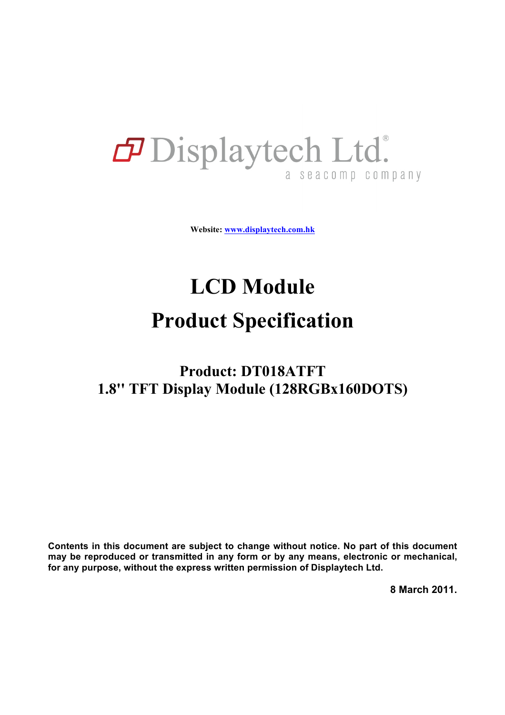# **P** Displaytech Ltd. a seacomp company

**Website: www.displaytech.com.hk**

# **LCD Module**

# **Product Specification**

# **Product: DT018ATFT 1.8'' TFT Display Module (128RGBx160DOTS)**

**Contents in this document are subject to change without notice. No part of this document may be reproduced or transmitted in any form or by any means, electronic or mechanical, for any purpose, without the express written permission of Displaytech Ltd.**

**8 March 2011.**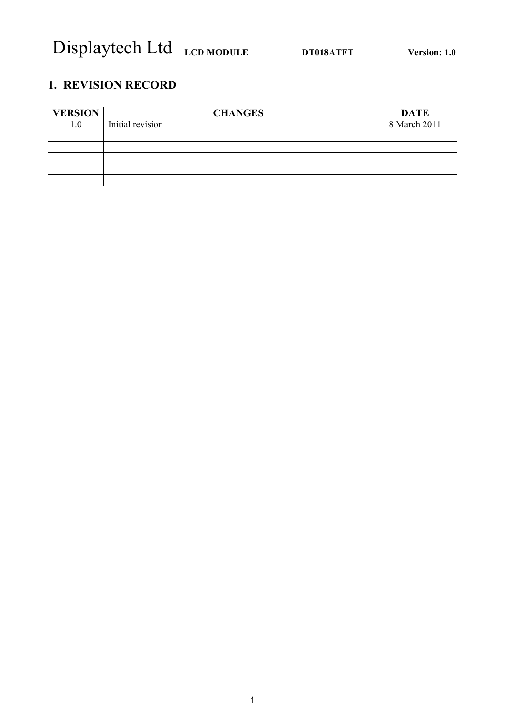# **1. REVISION RECORD**

| <b>VERSION</b> | <b>CHANGES</b>   | <b>DATE</b>  |
|----------------|------------------|--------------|
| 1.0            | Initial revision | 8 March 2011 |
|                |                  |              |
|                |                  |              |
|                |                  |              |
|                |                  |              |
|                |                  |              |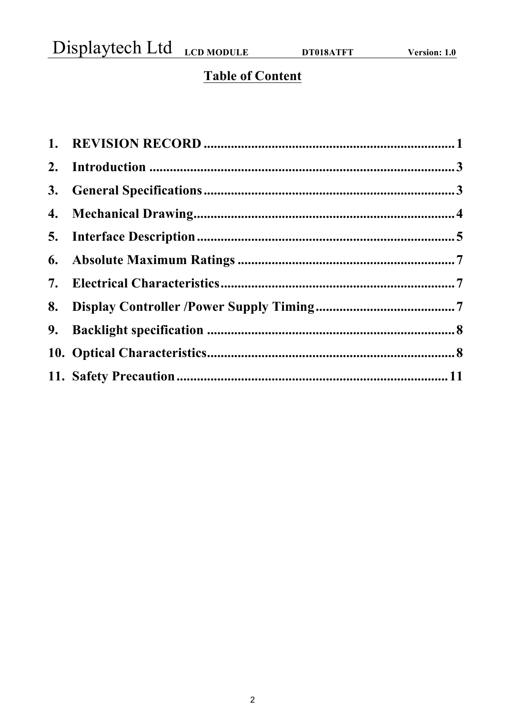Displaytech Ltd LCD MODULE DT018ATFT

# **Table of Content**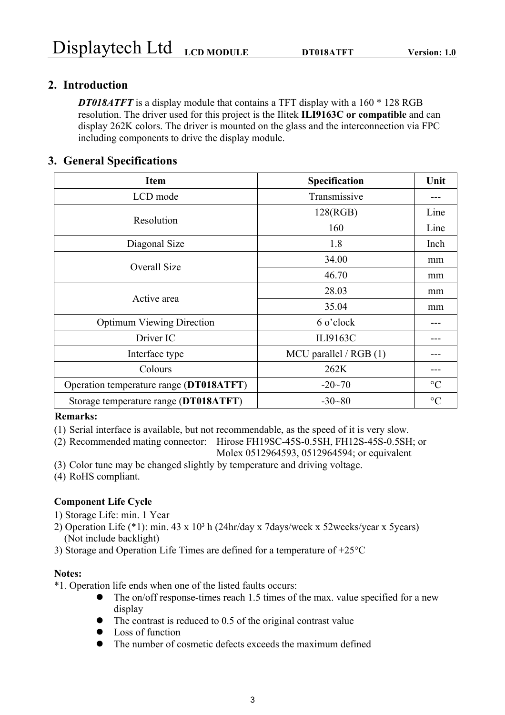## **2. Introduction**

*DT018ATFT* is a display module that contains a TFT display with a 160  $*$  128 RGB resolution. The driver used for this project is the Ilitek **ILI9163C or compatible** and can display 262K colors. The driver is mounted on the glass and the interconnection via FPC including components to drive the display module.

### **3. General Specifications**

| <b>Item</b>                             | Specification           | Unit            |
|-----------------------------------------|-------------------------|-----------------|
| LCD mode                                | Transmissive            |                 |
| Resolution                              | 128(RGB)                | Line            |
|                                         | 160                     | Line            |
| Diagonal Size                           | 1.8                     | Inch            |
|                                         | 34.00                   | mm              |
| Overall Size                            | 46.70                   | mm              |
|                                         | 28.03                   | mm              |
| Active area                             | 35.04                   | mm              |
| <b>Optimum Viewing Direction</b>        | 6 o'clock               |                 |
| Driver IC                               | ILI9163C                |                 |
| Interface type                          | MCU parallel / $RGB(1)$ |                 |
| Colours                                 | 262K                    |                 |
| Operation temperature range (DT018ATFT) | $-20 - 70$              | $\rm ^{\circ}C$ |
| Storage temperature range (DT018ATFT)   | $-30 - 80$              | $\rm ^{\circ}C$ |

#### **Remarks:**

- (1) Serial interface is available, but not recommendable, as the speed of it is very slow.
- (2) Recommended mating connector: Hirose FH19SC-45S-0.5SH, FH12S-45S-0.5SH; or

Molex 0512964593, 0512964594; or equivalent

- (3) Color tune may be changed slightly by temperature and driving voltage.
- (4) RoHS compliant.

#### **Component Life Cycle**

- 1) Storage Life: min. 1 Year
- 2) Operation Life  $(*1)$ : min. 43 x  $10<sup>3</sup>$  h (24hr/day x 7days/week x 52weeks/year x 5years) (Not include backlight)
- 3) Storage and Operation Life Times are defined for a temperature of +25°C

#### **Notes:**

- \*1. Operation life ends when one of the listed faults occurs:
	- The on/off response-times reach 1.5 times of the max. value specified for a new display
	- $\bullet$  The contrast is reduced to 0.5 of the original contrast value
	- $\bullet$  Loss of function
	- The number of cosmetic defects exceeds the maximum defined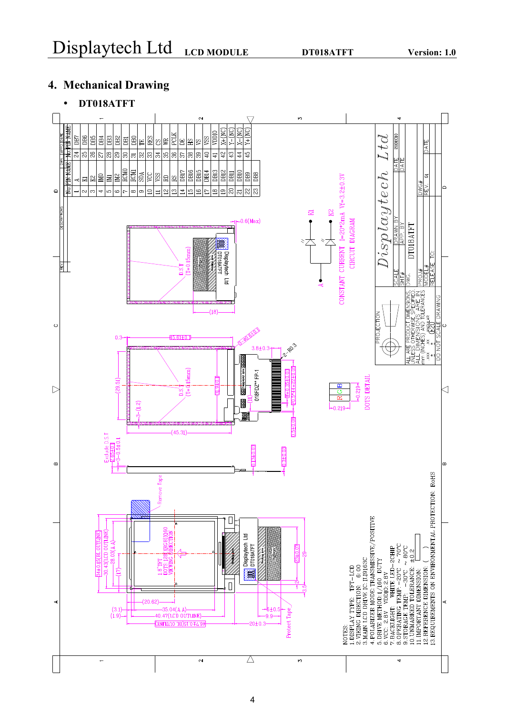# **4. Mechanical Drawing**

# • **DT018ATFT**

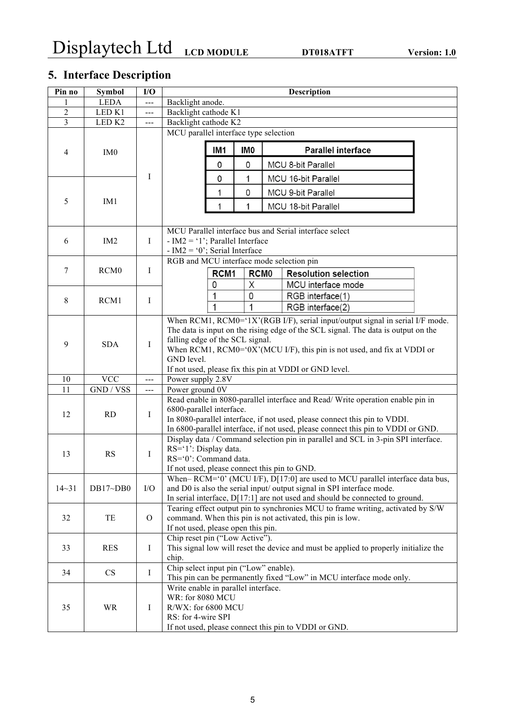# **5. Interface Description**

| Pin no         | <b>Symbol</b>     | I/O                  | <b>Description</b>                                                                |                                                        |                  |  |                                                                                      |  |  |
|----------------|-------------------|----------------------|-----------------------------------------------------------------------------------|--------------------------------------------------------|------------------|--|--------------------------------------------------------------------------------------|--|--|
|                | <b>LEDA</b>       | $---$                |                                                                                   | Backlight anode.                                       |                  |  |                                                                                      |  |  |
| $\overline{c}$ | LED <sub>K1</sub> | ---                  | Backlight cathode K1                                                              |                                                        |                  |  |                                                                                      |  |  |
| 3              | LED <sub>K2</sub> | $\sim$ $\sim$ $\sim$ | Backlight cathode K2                                                              |                                                        |                  |  |                                                                                      |  |  |
|                |                   |                      | MCU parallel interface type selection                                             |                                                        |                  |  |                                                                                      |  |  |
|                |                   |                      |                                                                                   |                                                        |                  |  |                                                                                      |  |  |
| $\overline{4}$ | IM <sub>0</sub>   |                      |                                                                                   | IM <sub>1</sub>                                        | IM <sub>0</sub>  |  | <b>Parallel interface</b>                                                            |  |  |
|                |                   |                      |                                                                                   | 0                                                      | 0                |  | MCU 8-bit Parallel                                                                   |  |  |
|                |                   | I                    |                                                                                   | 0                                                      | 1                |  | MCU 16-bit Parallel                                                                  |  |  |
|                |                   |                      |                                                                                   | 1                                                      | 0                |  | MCU 9-bit Parallel                                                                   |  |  |
| 5              | IM <sub>1</sub>   |                      |                                                                                   | 1                                                      | 1                |  | MCU 18-bit Parallel                                                                  |  |  |
|                |                   |                      |                                                                                   |                                                        |                  |  |                                                                                      |  |  |
|                |                   |                      |                                                                                   |                                                        |                  |  | MCU Parallel interface bus and Serial interface select                               |  |  |
| 6              | IM2               | $\bf{I}$             | - IM2 = '1'; Parallel Interface                                                   |                                                        |                  |  |                                                                                      |  |  |
|                |                   |                      | - IM2 = '0'; Serial Interface<br>RGB and MCU interface mode selection pin         |                                                        |                  |  |                                                                                      |  |  |
| 7              | RCM <sub>0</sub>  | $\bf{I}$             |                                                                                   |                                                        |                  |  |                                                                                      |  |  |
|                |                   |                      |                                                                                   | RCM <sub>1</sub>                                       | RCM <sub>0</sub> |  | <b>Resolution selection</b>                                                          |  |  |
|                |                   |                      |                                                                                   | 0                                                      | Χ                |  | MCU interface mode                                                                   |  |  |
| 8              | RCM1              | $\mathbf I$          |                                                                                   | 1                                                      | 0                |  | RGB interface(1)                                                                     |  |  |
|                |                   |                      |                                                                                   | 1                                                      | 1                |  | RGB interface(2)                                                                     |  |  |
|                |                   |                      |                                                                                   |                                                        |                  |  | When RCM1, RCM0='1X'(RGB I/F), serial input/output signal in serial I/F mode.        |  |  |
|                |                   |                      | The data is input on the rising edge of the SCL signal. The data is output on the |                                                        |                  |  |                                                                                      |  |  |
| 9              | <b>SDA</b>        | $\mathbf I$          | falling edge of the SCL signal.                                                   |                                                        |                  |  |                                                                                      |  |  |
|                |                   |                      |                                                                                   |                                                        |                  |  | When RCM1, RCM0='0X'(MCU I/F), this pin is not used, and fix at VDDI or              |  |  |
|                |                   |                      | GND level.                                                                        |                                                        |                  |  |                                                                                      |  |  |
| 10             | <b>VCC</b>        |                      |                                                                                   | If not used, please fix this pin at VDDI or GND level. |                  |  |                                                                                      |  |  |
| 11             | GND / VSS         | $-$<br>$---$         |                                                                                   | Power supply 2.8V<br>Power ground 0V                   |                  |  |                                                                                      |  |  |
|                |                   |                      |                                                                                   |                                                        |                  |  | Read enable in 8080-parallel interface and Read/Write operation enable pin in        |  |  |
|                |                   |                      | 6800-parallel interface.                                                          |                                                        |                  |  |                                                                                      |  |  |
| 12             | RD                | I                    |                                                                                   |                                                        |                  |  | In 8080-parallel interface, if not used, please connect this pin to VDDI.            |  |  |
|                |                   |                      |                                                                                   |                                                        |                  |  | In 6800-parallel interface, if not used, please connect this pin to VDDI or GND.     |  |  |
|                |                   |                      |                                                                                   |                                                        |                  |  | Display data / Command selection pin in parallel and SCL in 3-pin SPI interface.     |  |  |
| 13             | <b>RS</b>         |                      | RS='1': Display data.                                                             |                                                        |                  |  |                                                                                      |  |  |
|                |                   | $\bf{I}$             | RS='0': Command data.                                                             |                                                        |                  |  |                                                                                      |  |  |
|                |                   |                      | If not used, please connect this pin to GND.                                      |                                                        |                  |  |                                                                                      |  |  |
|                |                   |                      |                                                                                   |                                                        |                  |  | When-RCM='0' (MCU I/F), D[17:0] are used to MCU parallel interface data bus,         |  |  |
| $14 - 31$      | DB17~DB0          | I/O                  |                                                                                   |                                                        |                  |  | and D0 is also the serial input/ output signal in SPI interface mode.                |  |  |
|                |                   |                      |                                                                                   |                                                        |                  |  | In serial interface, $D[17:1]$ are not used and should be connected to ground.       |  |  |
| 32             | TE                | $\mathcal{O}$        |                                                                                   |                                                        |                  |  | Tearing effect output pin to synchronies MCU to frame writing, activated by S/W      |  |  |
|                |                   |                      | command. When this pin is not activated, this pin is low.                         |                                                        |                  |  |                                                                                      |  |  |
|                |                   |                      | If not used, please open this pin.<br>Chip reset pin ("Low Active").              |                                                        |                  |  |                                                                                      |  |  |
| 33             | <b>RES</b>        | $\mathbf I$          |                                                                                   |                                                        |                  |  | This signal low will reset the device and must be applied to properly initialize the |  |  |
|                |                   |                      | chip.                                                                             |                                                        |                  |  |                                                                                      |  |  |
|                |                   |                      | Chip select input pin ("Low" enable).                                             |                                                        |                  |  |                                                                                      |  |  |
| 34             | CS                | $\mathbf I$          |                                                                                   |                                                        |                  |  | This pin can be permanently fixed "Low" in MCU interface mode only.                  |  |  |
|                |                   |                      | Write enable in parallel interface.                                               |                                                        |                  |  |                                                                                      |  |  |
|                |                   |                      |                                                                                   | <b>WR: for 8080 MCU</b>                                |                  |  |                                                                                      |  |  |
| 35             | <b>WR</b>         | $\bf I$              | R/WX: for 6800 MCU                                                                |                                                        |                  |  |                                                                                      |  |  |
|                |                   |                      |                                                                                   | RS: for 4-wire SPI                                     |                  |  |                                                                                      |  |  |
|                |                   |                      |                                                                                   |                                                        |                  |  | If not used, please connect this pin to VDDI or GND.                                 |  |  |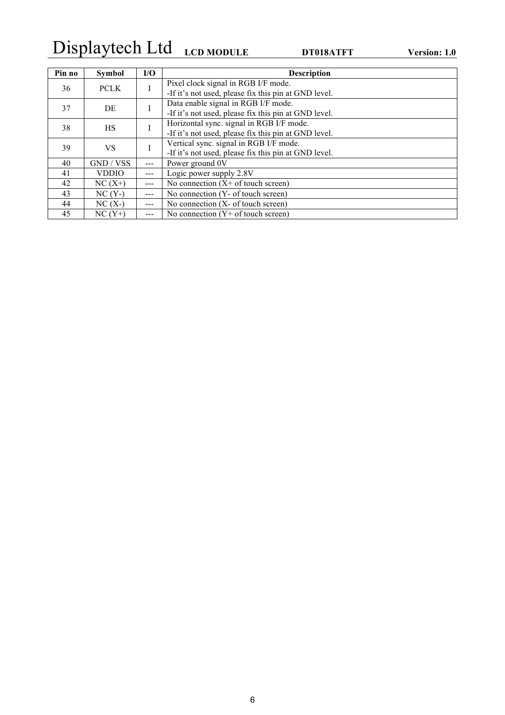# Displaytech Ltd **LCD MODULE DT018ATFT Version: 1.0**

| Pin no            | <b>Symbol</b> | I/O           | <b>Description</b>                                   |
|-------------------|---------------|---------------|------------------------------------------------------|
| <b>PCLK</b><br>36 |               | I             | Pixel clock signal in RGB I/F mode.                  |
|                   |               |               | -If it's not used, please fix this pin at GND level. |
| 37                | DE            |               | Data enable signal in RGB I/F mode.                  |
|                   |               |               | -If it's not used, please fix this pin at GND level. |
| 38                | <b>HS</b>     |               | Horizontal sync. signal in RGB I/F mode.             |
|                   |               |               | -If it's not used, please fix this pin at GND level. |
| 39                |               | VS.           | Vertical sync. signal in RGB I/F mode.               |
|                   |               |               | -If it's not used, please fix this pin at GND level. |
| 40                | GND / VSS     | $---$         | Power ground 0V                                      |
| 41                | <b>VDDIO</b>  | $---$         | Logic power supply 2.8V                              |
| 42                | $NC(X+)$      | $\frac{1}{2}$ | No connection $(X + of$ touch screen)                |
| 43                | $NC(Y-)$      | $---$         | No connection (Y- of touch screen)                   |
| 44                | $NC(X-)$      | $---$         | No connection $(X - of touch screen)$                |
| 45                | $NC(Y+)$      |               | No connection $(Y+$ of touch screen)                 |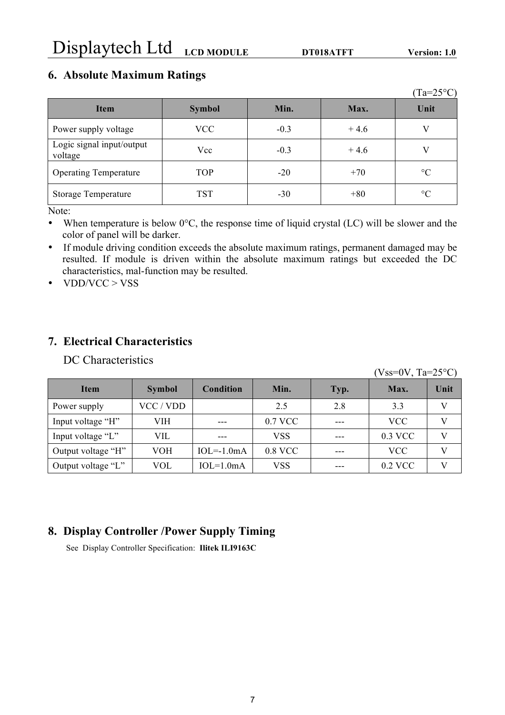## **6. Absolute Maximum Ratings**

|                                      |               |        |        | $(Ta=25^{\circ}C)$ |
|--------------------------------------|---------------|--------|--------|--------------------|
| <b>Item</b>                          | <b>Symbol</b> | Min.   | Max.   | Unit               |
| Power supply voltage                 | <b>VCC</b>    | $-0.3$ | $+4.6$ |                    |
| Logic signal input/output<br>voltage | Vcc           | $-0.3$ | $+4.6$ |                    |
| <b>Operating Temperature</b>         | <b>TOP</b>    | $-20$  | $+70$  | $\rm ^{\circ}C$    |
| <b>Storage Temperature</b>           | <b>TST</b>    | $-30$  | $+80$  | $\rm ^{\circ}C$    |

Note:

- When temperature is below  $0^{\circ}$ C, the response time of liquid crystal (LC) will be slower and the color of panel will be darker.
- If module driving condition exceeds the absolute maximum ratings, permanent damaged may be resulted. If module is driven within the absolute maximum ratings but exceeded the DC characteristics, mal-function may be resulted.
- VDD/VCC > VSS

## **7. Electrical Characteristics**

DC Characteristics

|                    |               |              |         |      | $(Vss=0V, Ta=25°C)$ |      |
|--------------------|---------------|--------------|---------|------|---------------------|------|
| <b>Item</b>        | <b>Symbol</b> | Condition    | Min.    | Typ. | Max.                | Unit |
| Power supply       | VCC / VDD     |              | 2.5     | 2.8  | 3.3                 | V    |
| Input voltage "H"  | VIH           |              | 0.7 VCC |      | <b>VCC</b>          | V    |
| Input voltage "L"  | VIL           |              | VSS     |      | 0.3 VCC             | V    |
| Output voltage "H" | VOH           | $IOL=-1.0mA$ | 0.8 VCC |      | <b>VCC</b>          | V    |
| Output voltage "L" | VOL           | $IOL=1.0mA$  | VSS     |      | 0.2 VCC             | V    |

## **8. Display Controller /Power Supply Timing**

See Display Controller Specification: **Ilitek ILI9163C**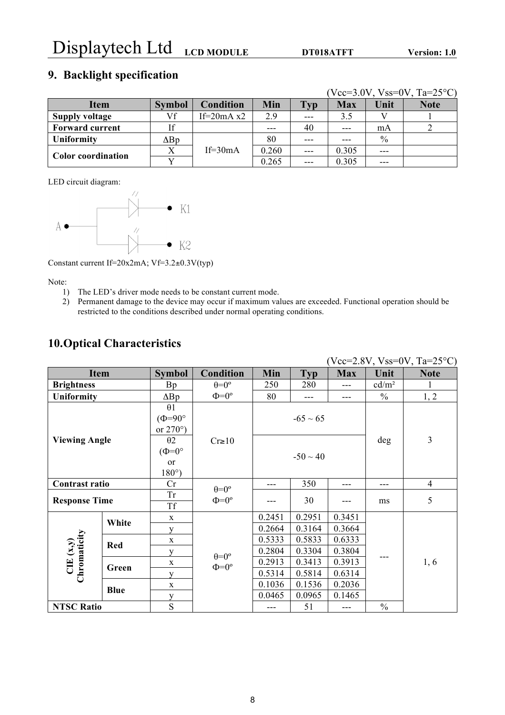# **9. Backlight specification**

|                        |               |                     |       |       |            |               | $(Vcc=3.0V, Vss=0V, Ta=25°C)$ |
|------------------------|---------------|---------------------|-------|-------|------------|---------------|-------------------------------|
| <b>Item</b>            | <b>Symbol</b> | <b>Condition</b>    | Min   | Typ   | <b>Max</b> | Unit          | <b>Note</b>                   |
| <b>Supply voltage</b>  | Vf            | If= $20mA \times 2$ | 2.9   | $---$ | 3.5        |               |                               |
| <b>Forward current</b> | If            |                     |       | 40    | $---$      | mA            |                               |
| Uniformity             | $\Delta$ Bp   |                     | 80    | $---$ | ---        | $\frac{0}{0}$ |                               |
| Color coordination     |               | $If=30mA$           | 0.260 |       | 0.305      |               |                               |
|                        | <b>T</b>      |                     | 0.265 | $---$ | 0.305      | ---           |                               |

LED circuit diagram:



Constant current If=20x2mA; Vf=3.2±0.3V(typ)

Note:

- 1) The LED's driver mode needs to be constant current mode.
- 2) Permanent damage to the device may occur if maximum values are exceeded. Functional operation should be restricted to the conditions described under normal operating conditions.

## **10.Optical Characteristics**

| $(Vcc=2.8V, Vss=0V, Ta=25°C)$ |             |                    |                      |        |               |            |                   |                |
|-------------------------------|-------------|--------------------|----------------------|--------|---------------|------------|-------------------|----------------|
| <b>Item</b>                   |             | <b>Symbol</b>      | <b>Condition</b>     | Min    | <b>Typ</b>    | <b>Max</b> | Unit              | <b>Note</b>    |
| <b>Brightness</b>             |             | Bp                 | $\theta = 0^{\circ}$ | 250    | 280           | ---        | cd/m <sup>2</sup> | 1              |
| <b>Uniformity</b>             |             | $\Delta$ Bp        | $\Phi = 0^{\circ}$   | 80     | $---$         | ---        | $\frac{0}{0}$     | 1, 2           |
|                               |             | $\theta$ 1         |                      |        |               |            |                   |                |
|                               |             | $(\Phi = 90^\circ$ |                      |        | $-65 \sim 65$ |            |                   |                |
|                               |             | or $270^{\circ}$ ) |                      |        |               |            |                   |                |
| <b>Viewing Angle</b>          |             | $\theta$ 2         | $Cr \ge 10$          |        |               |            | deg               | 3              |
|                               |             | $(\Phi=0^{\circ})$ |                      |        | $-50 \sim 40$ |            |                   |                |
|                               |             | or                 |                      |        |               |            |                   |                |
|                               |             | $180^{\circ}$ )    |                      |        |               |            |                   |                |
| Contrast ratio                |             | Cr                 | $heta = 0$ °         | ---    | 350           | ---        | ---               | $\overline{4}$ |
| <b>Response Time</b>          |             | <b>Tr</b>          | $\Phi = 0^{\circ}$   |        | 30            |            | ms                | 5              |
|                               |             | <b>Tf</b>          |                      |        |               |            |                   |                |
|                               | White       | X                  |                      | 0.2451 | 0.2951        | 0.3451     |                   |                |
|                               |             | y                  |                      | 0.2664 | 0.3164        | 0.3664     |                   |                |
|                               | Red         | X                  |                      | 0.5333 | 0.5833        | 0.6333     |                   |                |
|                               |             | y                  | $heta = 0$ °         | 0.2804 | 0.3304        | 0.3804     |                   |                |
| $CIE(x,y)$<br>Chromaticity    | Green       | X                  | $\Phi = 0^{\circ}$   | 0.2913 | 0.3413        | 0.3913     |                   | 1, 6           |
|                               |             | V                  |                      | 0.5314 | 0.5814        | 0.6314     |                   |                |
|                               | <b>Blue</b> | X                  |                      | 0.1036 | 0.1536        | 0.2036     |                   |                |
|                               |             | y                  |                      | 0.0465 | 0.0965        | 0.1465     |                   |                |
| <b>NTSC Ratio</b>             |             | S                  |                      | ---    | 51            | ---        | $\frac{0}{0}$     |                |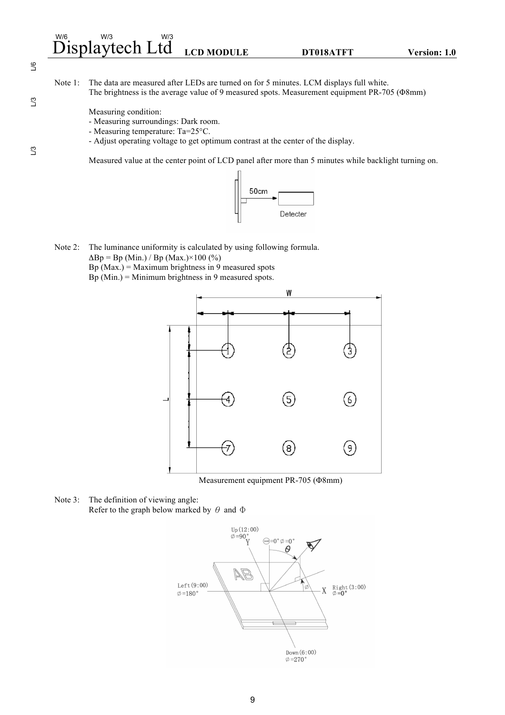# $\stackrel{\scriptscriptstyle\rm W/6}{\rm Display}$ tech Ltd <sub>LCD MODULE</sub> dt DT018ATFT version: 1.0

 $\overline{\mathcal{L}}$ 

 $\mathbb{S}^2$ 

 $\mathbf{L}$ 3

Note 1: The data are measured after LEDs are turned on for 5 minutes. LCM displays full white. The brightness is the average value of 9 measured spots. Measurement equipment PR-705 (Φ8mm)

Measuring condition:

- Measuring surroundings: Dark room.
- Measuring temperature: Ta=25°C.
- Adjust operating voltage to get optimum contrast at the center of the display.

Measured value at the center point of LCD panel after more than 5 minutes while backlight turning on.



Note 2: The luminance uniformity is calculated by using following formula.  $\Delta$ Bp = Bp (Min.) / Bp (Max.)×100 (%) Bp  $(Max.) = Maximum brightness in 9 measured spots$ Bp (Min.) = Minimum brightness in 9 measured spots.



Measurement equipment PR-705 (Φ8mm)

Note 3: The definition of viewing angle: Refer to the graph below marked by  $\theta$  and  $\Phi$ 



9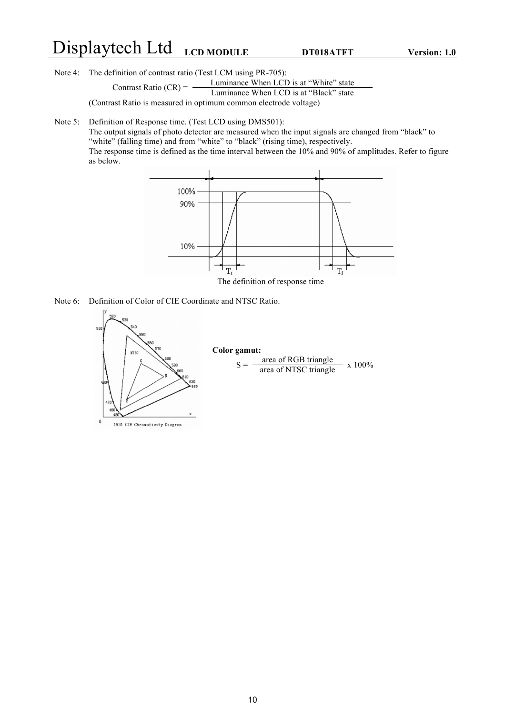# Displaytech Ltd **LCD MODULE DT018ATFT Version: 1.0**

Note 4: The definition of contrast ratio (Test LCM using PR-705):

Contrast Ratio  $(CR) = \frac{\text{Luminance When LCD is at "White" state}}{\text{LCD is at "Nhet" state}}$ 

Luminance When LCD is at "Black" state

(Contrast Ratio is measured in optimum common electrode voltage)

Note 5: Definition of Response time. (Test LCD using DMS501):

The output signals of photo detector are measured when the input signals are changed from "black" to "white" (falling time) and from "white" to "black" (rising time), respectively. The response time is defined as the time interval between the 10% and 90% of amplitudes. Refer to figure as below.



The definition of response time

Note 6: Definition of Color of CIE Coordinate and NTSC Ratio.